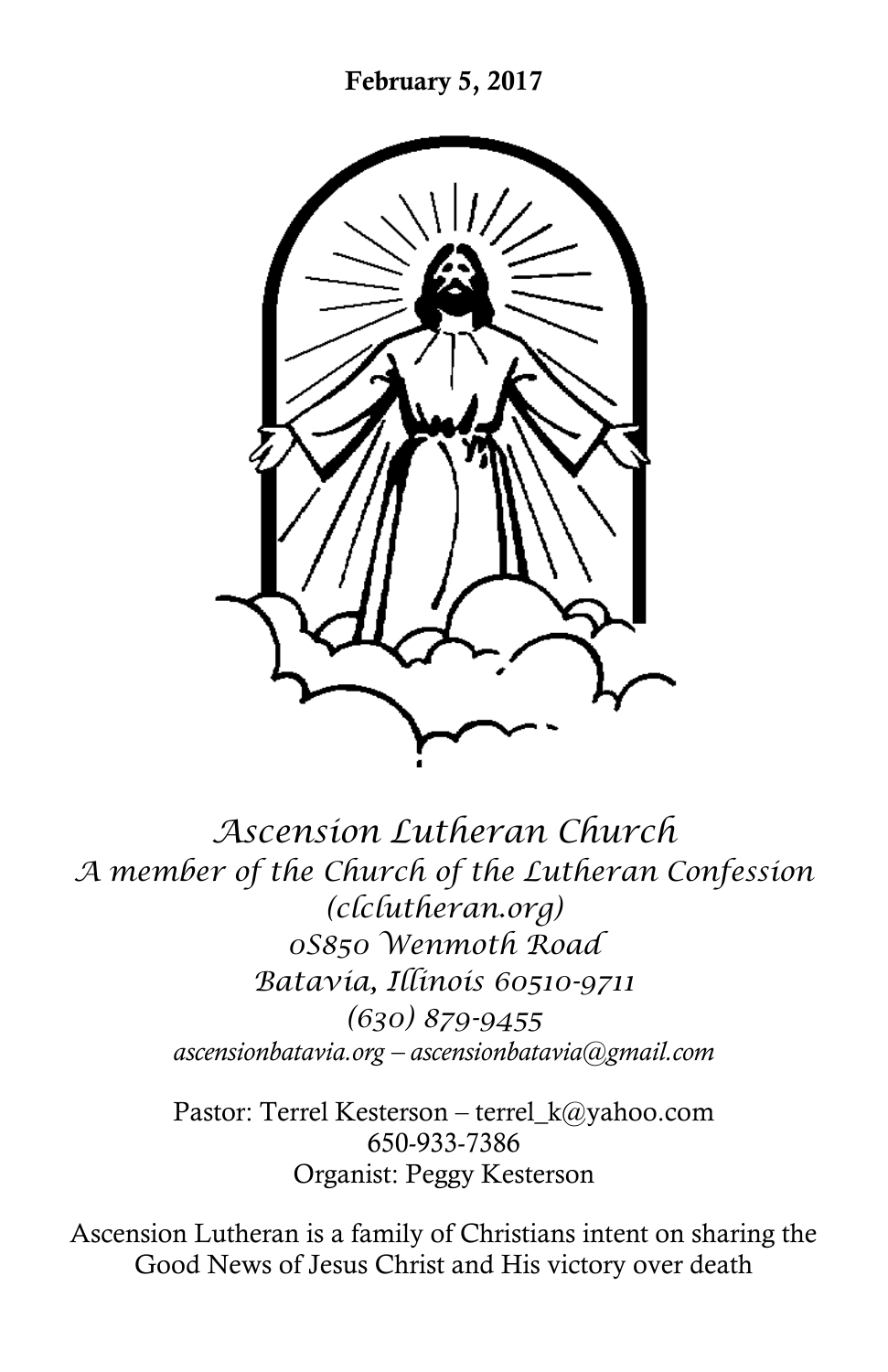

*Ascension Lutheran Church A member of the Church of the Lutheran Confession (clclutheran.org) 0S850 Wenmoth Road Batavia, Illinois 60510-9711 (630) 879-9455 ascensionbatavia.org – ascensionbatavia@gmail.com*

> Pastor: Terrel Kesterson – terrel\_k@yahoo.com 650-933-7386 Organist: Peggy Kesterson

Ascension Lutheran is a family of Christians intent on sharing the Good News of Jesus Christ and His victory over death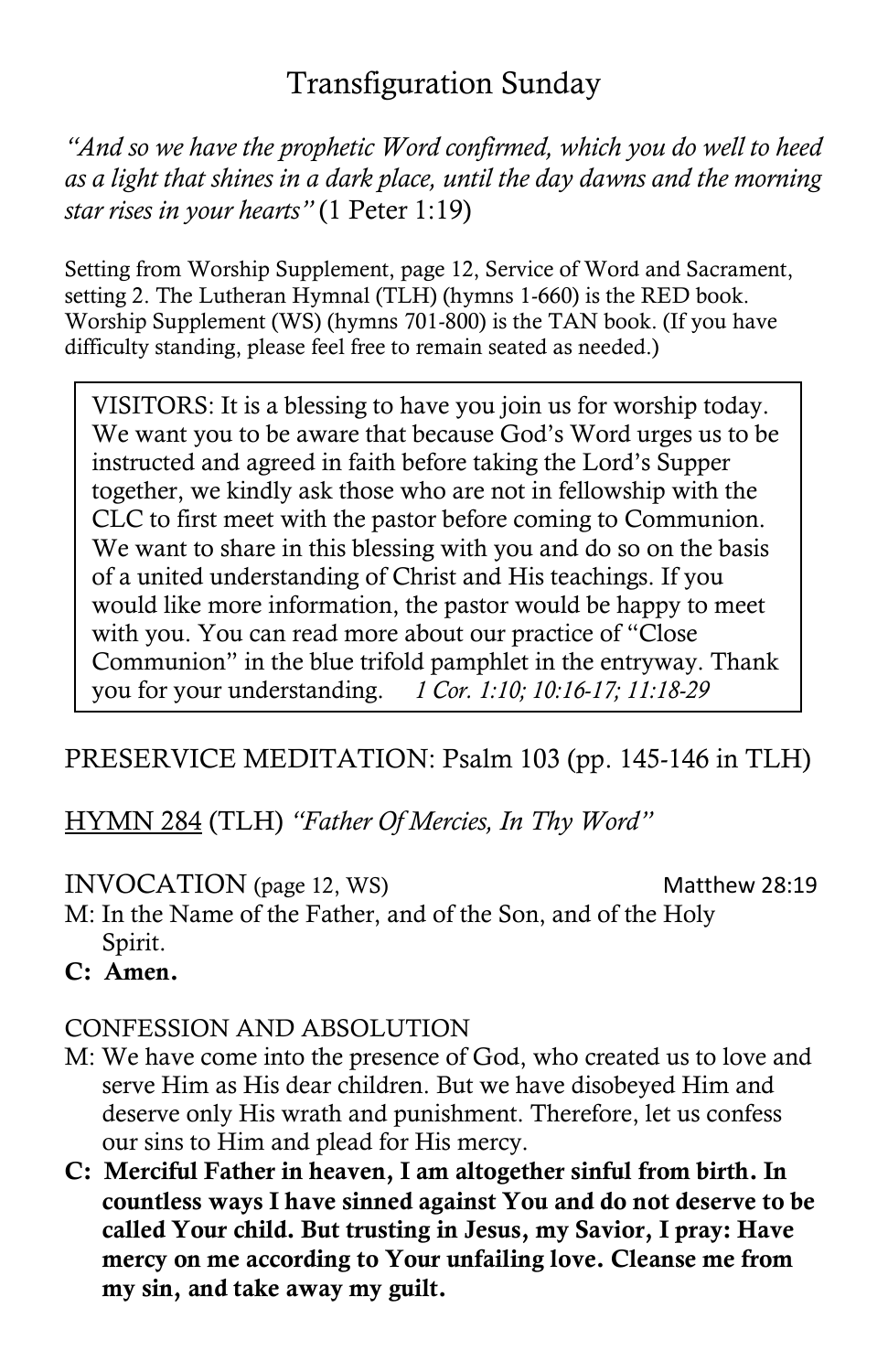# Transfiguration Sunday

*"And so we have the prophetic Word confirmed, which you do well to heed as a light that shines in a dark place, until the day dawns and the morning star rises in your hearts"* (1 Peter 1:19)

Setting from Worship Supplement, page 12, Service of Word and Sacrament, setting 2. The Lutheran Hymnal (TLH) (hymns 1-660) is the RED book. Worship Supplement (WS) (hymns 701-800) is the TAN book. (If you have difficulty standing, please feel free to remain seated as needed.)

VISITORS: It is a blessing to have you join us for worship today. We want you to be aware that because God's Word urges us to be instructed and agreed in faith before taking the Lord's Supper together, we kindly ask those who are not in fellowship with the CLC to first meet with the pastor before coming to Communion. We want to share in this blessing with you and do so on the basis of a united understanding of Christ and His teachings. If you would like more information, the pastor would be happy to meet with you. You can read more about our practice of "Close Communion" in the blue trifold pamphlet in the entryway. Thank you for your understanding. *1 Cor. 1:10; 10:16-17; 11:18-29*

# PRESERVICE MEDITATION: Psalm 103 (pp. 145-146 in TLH)

HYMN 284 (TLH) *"Father Of Mercies, In Thy Word"*

#### INVOCATION (page 12, WS) Matthew 28:19

- M: In the Name of the Father, and of the Son, and of the Holy Spirit.
- **C: Amen.**

### CONFESSION AND ABSOLUTION

- M: We have come into the presence of God, who created us to love and serve Him as His dear children. But we have disobeyed Him and deserve only His wrath and punishment. Therefore, let us confess our sins to Him and plead for His mercy.
- **C: Merciful Father in heaven, I am altogether sinful from birth. In countless ways I have sinned against You and do not deserve to be called Your child. But trusting in Jesus, my Savior, I pray: Have mercy on me according to Your unfailing love. Cleanse me from my sin, and take away my guilt.**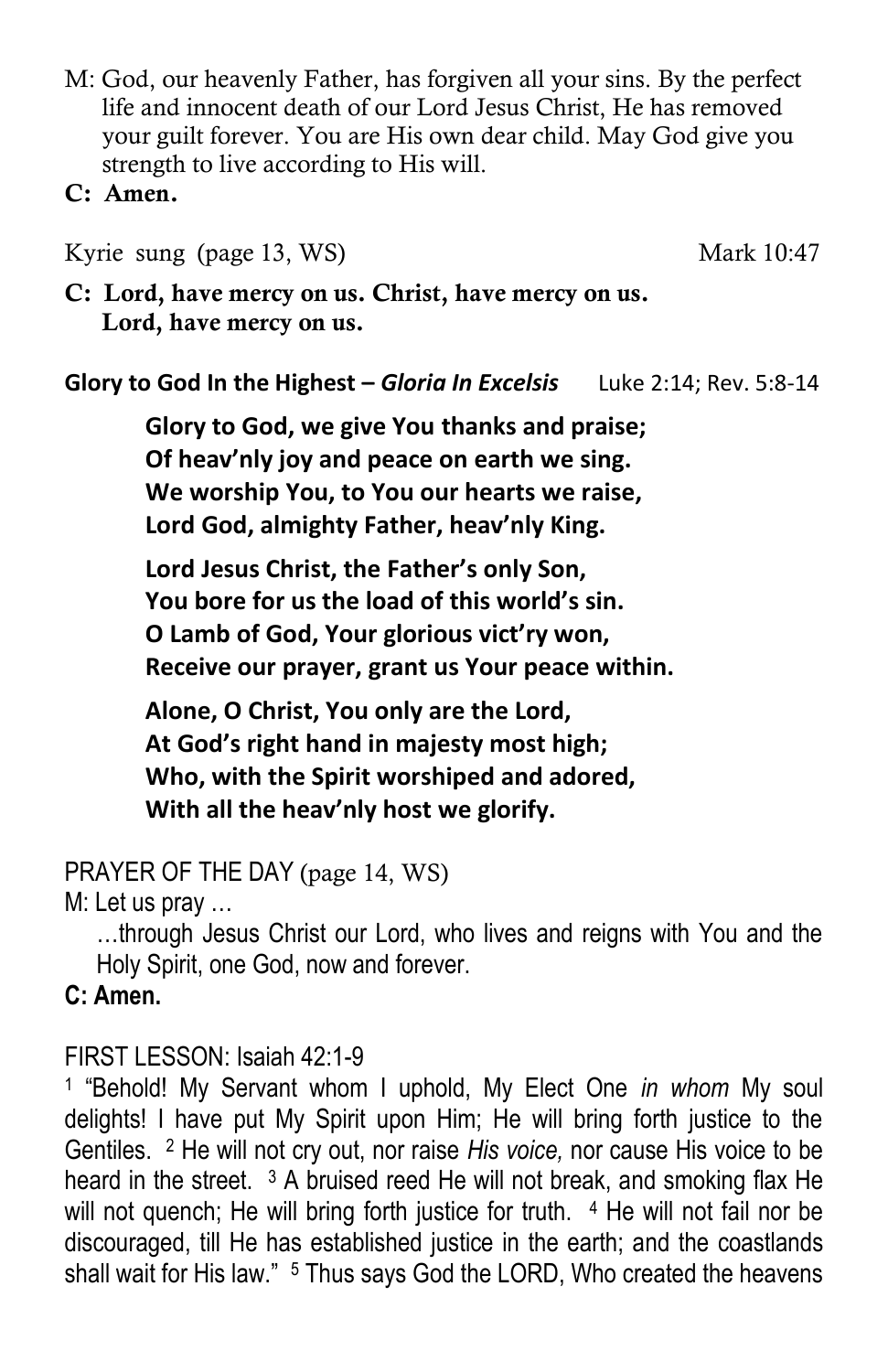- M: God, our heavenly Father, has forgiven all your sins. By the perfect life and innocent death of our Lord Jesus Christ, He has removed your guilt forever. You are His own dear child. May God give you strength to live according to His will.
- **C: Amen.**

Kyrie sung (page 13, WS) Mark 10:47

**C: Lord, have mercy on us. Christ, have mercy on us. Lord, have mercy on us.**

**Glory to God In the Highest - Gloria In Excelsis** Luke 2:14; Rev. 5:8-14

**Glory to God, we give You thanks and praise; Of heav'nly joy and peace on earth we sing. We worship You, to You our hearts we raise, Lord God, almighty Father, heav'nly King.**

**Lord Jesus Christ, the Father's only Son, You bore for us the load of this world's sin. O Lamb of God, Your glorious vict'ry won, Receive our prayer, grant us Your peace within.**

**Alone, O Christ, You only are the Lord, At God's right hand in majesty most high; Who, with the Spirit worshiped and adored, With all the heav'nly host we glorify.**

PRAYER OF THE DAY (page 14, WS)

M: Let us pray …

…through Jesus Christ our Lord, who lives and reigns with You and the Holy Spirit, one God, now and forever.

**C: Amen.**

### FIRST LESSON: Isaiah 42:1-9

1 "Behold! My Servant whom I uphold, My Elect One *in whom* My soul delights! I have put My Spirit upon Him; He will bring forth justice to the Gentiles. <sup>2</sup> He will not cry out, nor raise *His voice,* nor cause His voice to be heard in the street. <sup>3</sup> A bruised reed He will not break, and smoking flax He will not quench; He will bring forth justice for truth. <sup>4</sup> He will not fail nor be discouraged, till He has established justice in the earth; and the coastlands shall wait for His law." <sup>5</sup> Thus says God the LORD, Who created the heavens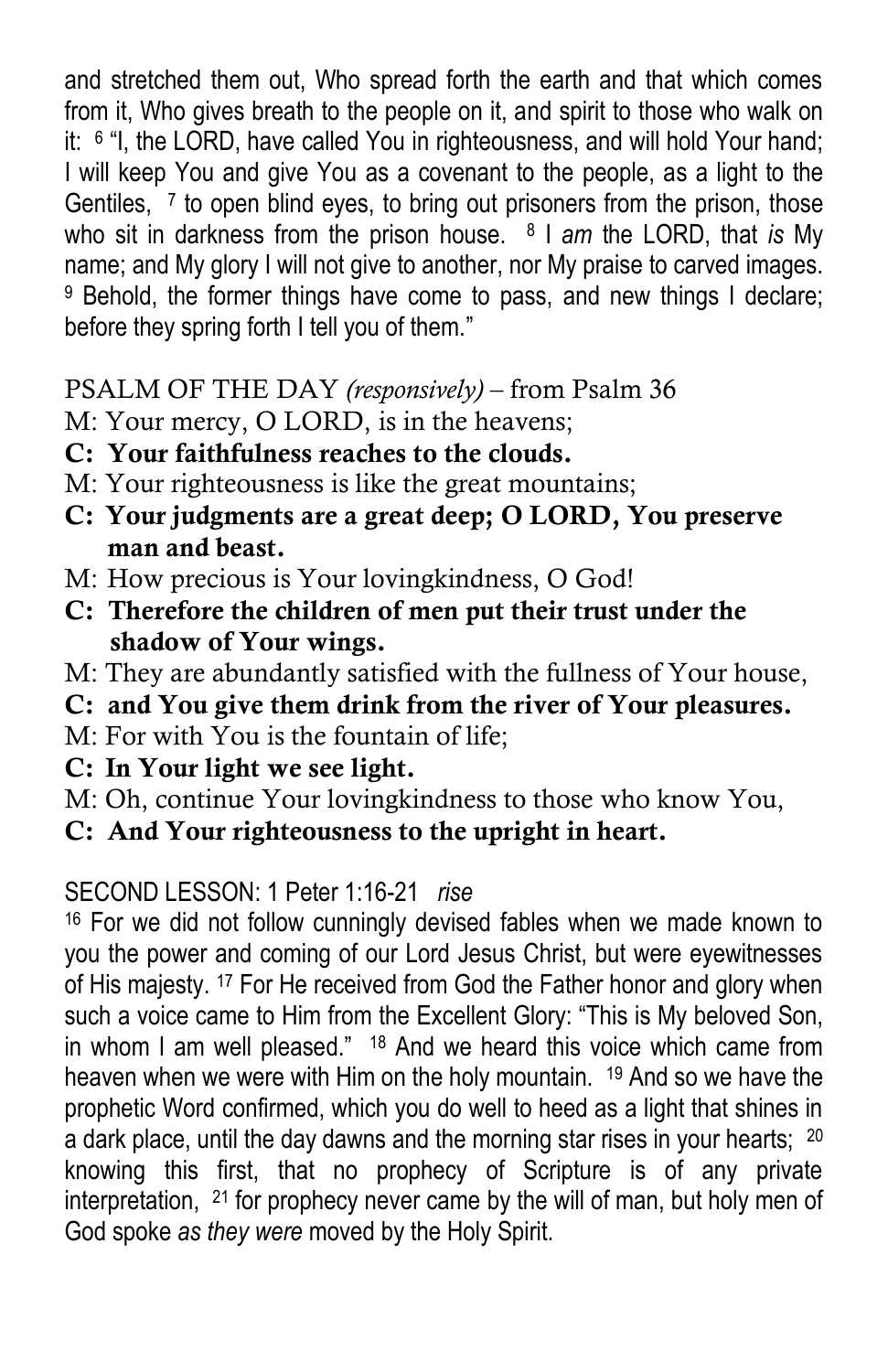and stretched them out, Who spread forth the earth and that which comes from it, Who gives breath to the people on it, and spirit to those who walk on it: <sup>6</sup> "I, the LORD, have called You in righteousness, and will hold Your hand; I will keep You and give You as a covenant to the people, as a light to the Gentiles, <sup>7</sup> to open blind eyes, to bring out prisoners from the prison, those who sit in darkness from the prison house. <sup>8</sup> I *am* the LORD, that *is* My name; and My glory I will not give to another, nor My praise to carved images. <sup>9</sup> Behold, the former things have come to pass, and new things I declare; before they spring forth I tell you of them."

PSALM OF THE DAY *(responsively)* – from Psalm 36

- M: Your mercy, O LORD, is in the heavens;
- **C: Your faithfulness reaches to the clouds.**
- M: Your righteousness is like the great mountains;
- **C: Your judgments are a great deep; O LORD, You preserve man and beast.**
- M: How precious is Your lovingkindness, O God!
- **C: Therefore the children of men put their trust under the shadow of Your wings.**
- M: They are abundantly satisfied with the fullness of Your house,
- **C: and You give them drink from the river of Your pleasures.**
- M: For with You is the fountain of life;
- **C: In Your light we see light.**
- M: Oh, continue Your lovingkindness to those who know You,
- **C: And Your righteousness to the upright in heart.**

# SECOND LESSON: 1 Peter 1:16-21 *rise*

<sup>16</sup> For we did not follow cunningly devised fables when we made known to you the power and coming of our Lord Jesus Christ, but were eyewitnesses of His majesty. <sup>17</sup> For He received from God the Father honor and glory when such a voice came to Him from the Excellent Glory: "This is My beloved Son, in whom I am well pleased." <sup>18</sup> And we heard this voice which came from heaven when we were with Him on the holy mountain. <sup>19</sup> And so we have the prophetic Word confirmed, which you do well to heed as a light that shines in a dark place, until the day dawns and the morning star rises in your hearts; <sup>20</sup> knowing this first, that no prophecy of Scripture is of any private interpretation, <sup>21</sup> for prophecy never came by the will of man, but holy men of God spoke *as they were* moved by the Holy Spirit.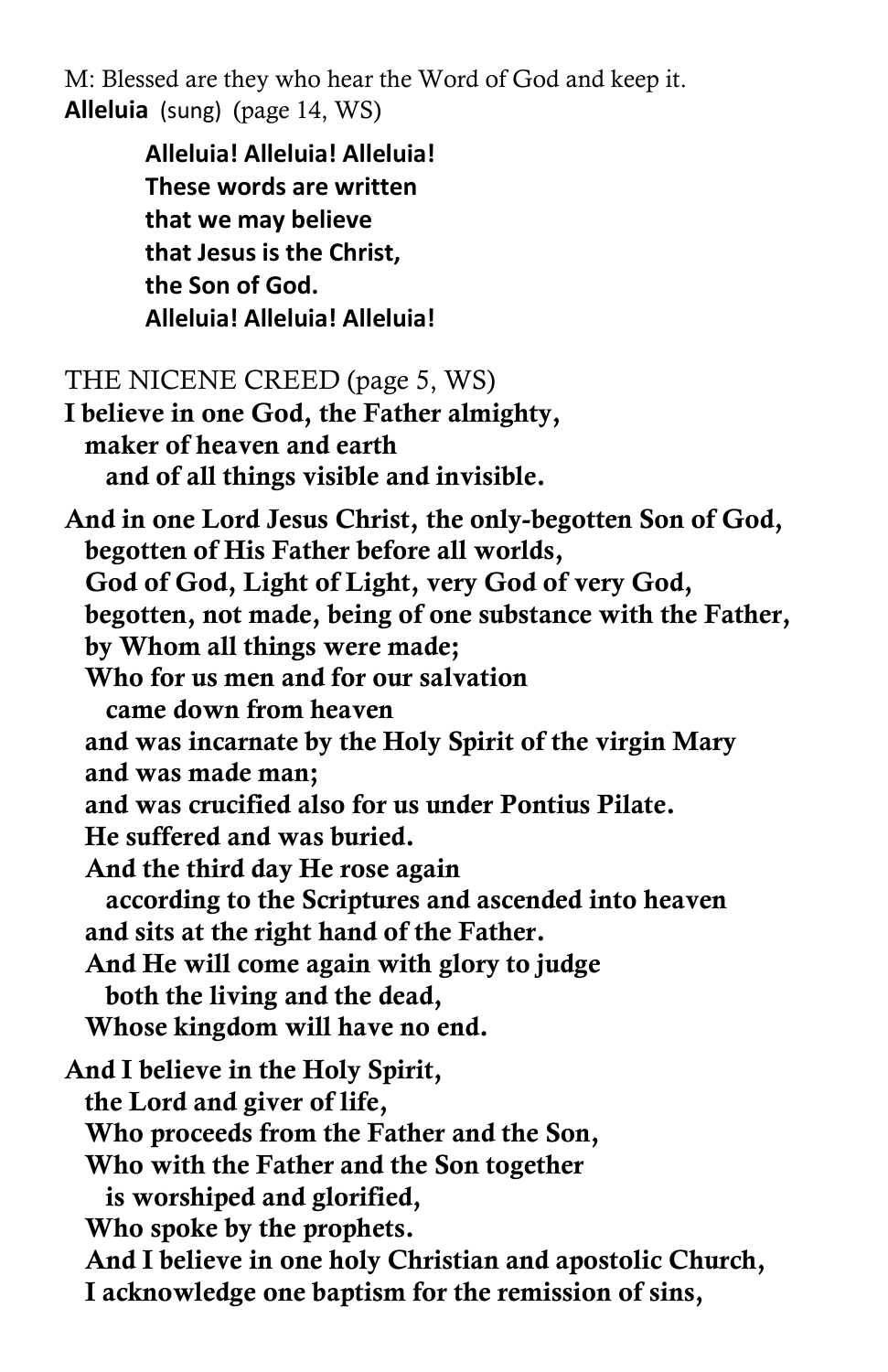M: Blessed are they who hear the Word of God and keep it. **Alleluia** (sung) (page 14, WS)

> **Alleluia! Alleluia! Alleluia! These words are written that we may believe that Jesus is the Christ, the Son of God. Alleluia! Alleluia! Alleluia!**

#### THE NICENE CREED (page 5, WS)

**I believe in one God, the Father almighty, maker of heaven and earth and of all things visible and invisible.** 

**And in one Lord Jesus Christ, the only-begotten Son of God, begotten of His Father before all worlds, God of God, Light of Light, very God of very God, begotten, not made, being of one substance with the Father, by Whom all things were made; Who for us men and for our salvation came down from heaven and was incarnate by the Holy Spirit of the virgin Mary and was made man; and was crucified also for us under Pontius Pilate. He suffered and was buried. And the third day He rose again according to the Scriptures and ascended into heaven and sits at the right hand of the Father. And He will come again with glory to judge both the living and the dead, Whose kingdom will have no end. And I believe in the Holy Spirit, the Lord and giver of life, Who proceeds from the Father and the Son, Who with the Father and the Son together is worshiped and glorified, Who spoke by the prophets. And I believe in one holy Christian and apostolic Church, I acknowledge one baptism for the remission of sins,**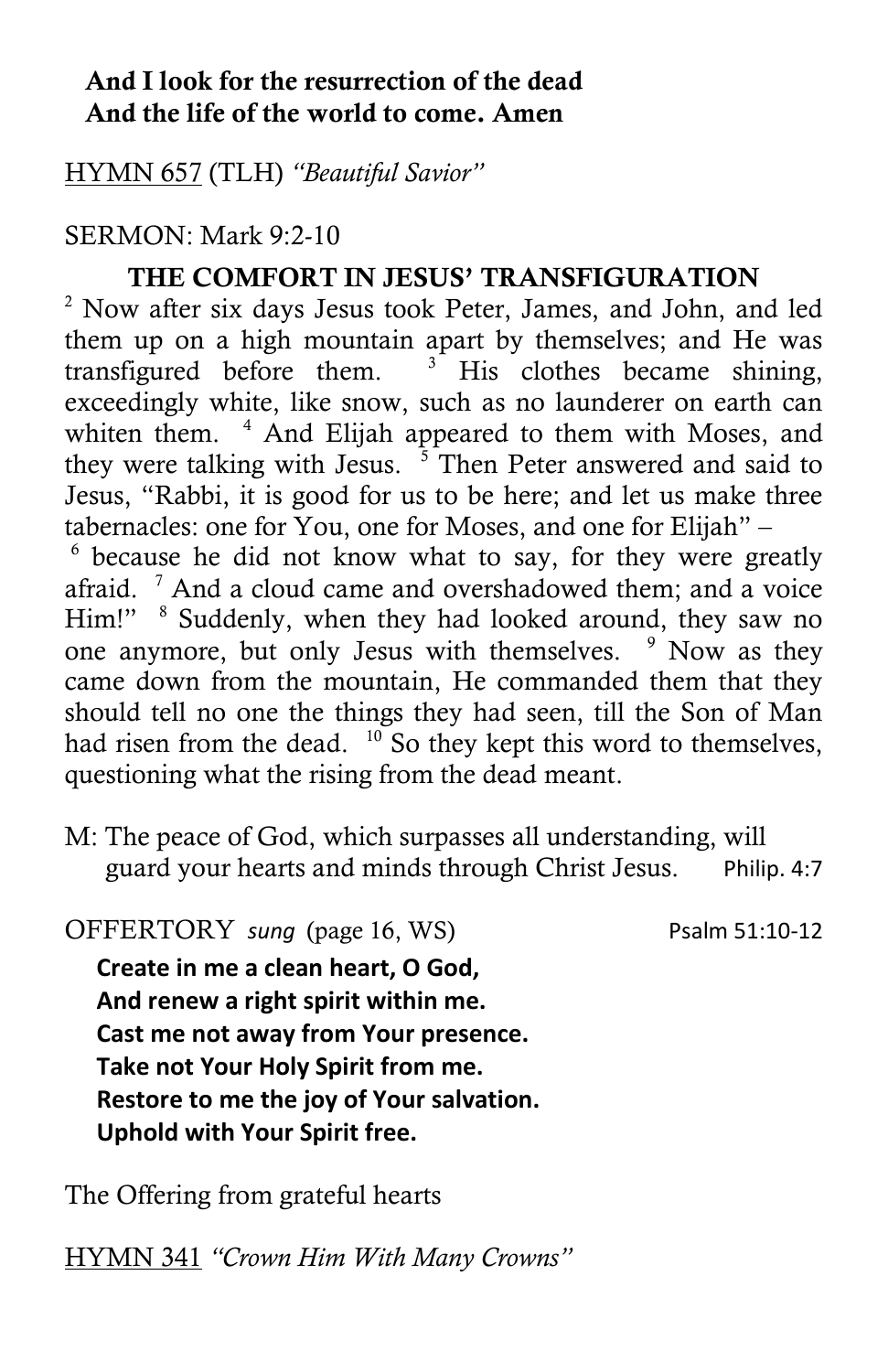### **And I look for the resurrection of the dead And the life of the world to come. Amen**

HYMN 657 (TLH) *"Beautiful Savior"*

## SERMON: Mark 9:2-10

# **THE COMFORT IN JESUS' TRANSFIGURATION**

 $2$  Now after six days Jesus took Peter, James, and John, and led them up on a high mountain apart by themselves; and He was transfigured before them.  $3^{\circ}$  His clothes became shining, exceedingly white, like snow, such as no launderer on earth can whiten them. <sup>4</sup> And Elijah appeared to them with Moses, and they were talking with Jesus.  $5$  Then Peter answered and said to Jesus, "Rabbi, it is good for us to be here; and let us make three tabernacles: one for You, one for Moses, and one for Elijah" –

6 because he did not know what to say, for they were greatly afraid.  $7$  And a cloud came and overshadowed them; and a voice Him!" <sup>8</sup> Suddenly, when they had looked around, they saw no one anymore, but only Jesus with themselves.  $9$  Now as they came down from the mountain, He commanded them that they should tell no one the things they had seen, till the Son of Man had risen from the dead.  $10^{\circ}$  So they kept this word to themselves, questioning what the rising from the dead meant.

M: The peace of God, which surpasses all understanding, will guard your hearts and minds through Christ Jesus. Philip. 4:7

OFFERTORY *sung* (page 16, WS) Psalm 51:10-12

**Create in me a clean heart, O God, And renew a right spirit within me. Cast me not away from Your presence. Take not Your Holy Spirit from me. Restore to me the joy of Your salvation. Uphold with Your Spirit free.**

The Offering from grateful hearts

HYMN 341 *"Crown Him With Many Crowns"*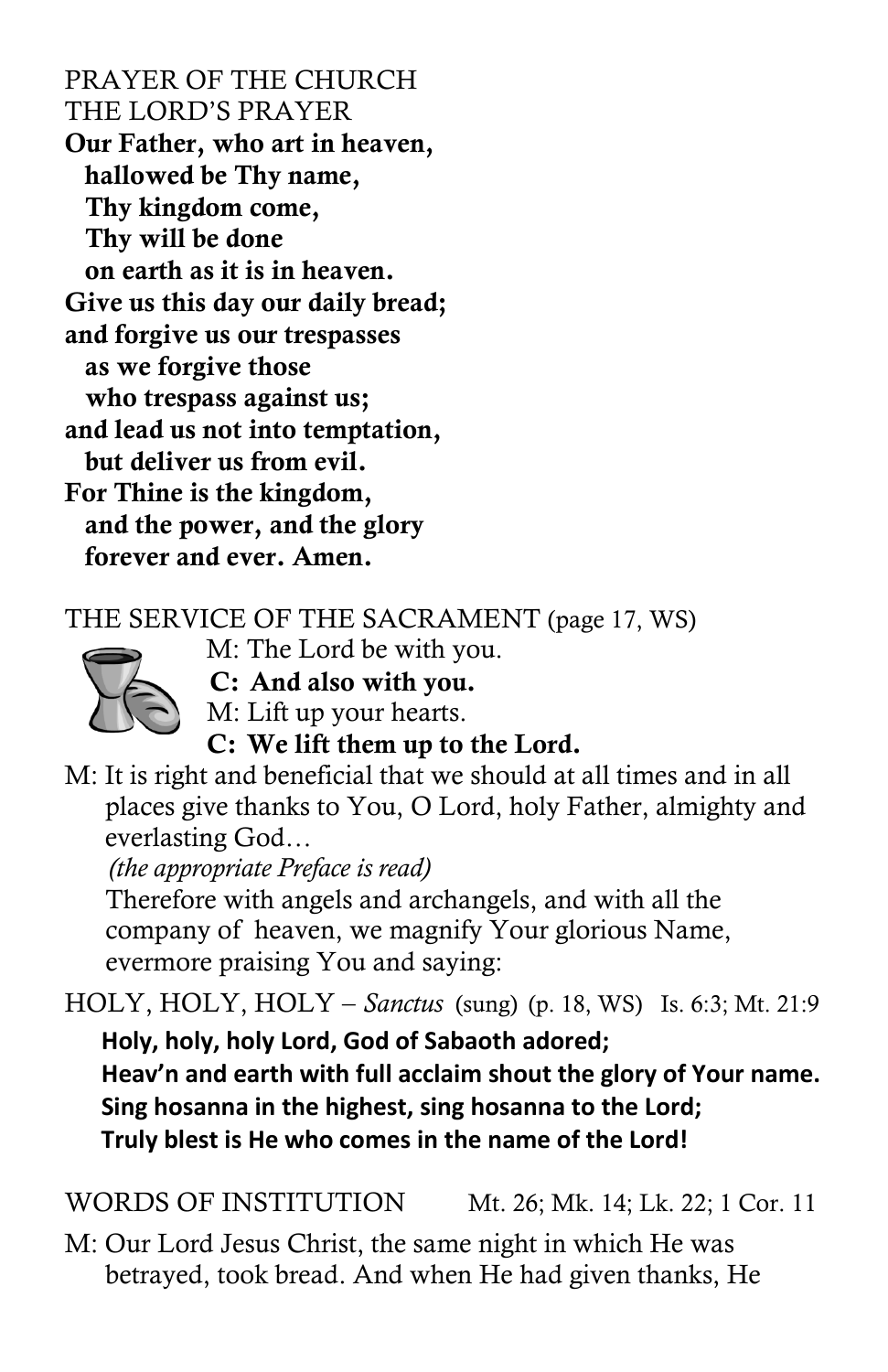PRAYER OF THE CHURCH THE LORD'S PRAYER **Our Father, who art in heaven, hallowed be Thy name, Thy kingdom come, Thy will be done on earth as it is in heaven. Give us this day our daily bread; and forgive us our trespasses as we forgive those who trespass against us; and lead us not into temptation, but deliver us from evil. For Thine is the kingdom, and the power, and the glory forever and ever. Amen.**

THE SERVICE OF THE SACRAMENT (page 17, WS)

 M: The Lord be with you.  **C: And also with you.**



M: Lift up your hearts.

**C: We lift them up to the Lord.**

M: It is right and beneficial that we should at all times and in all places give thanks to You, O Lord, holy Father, almighty and everlasting God…

 *(the appropriate Preface is read)*

 Therefore with angels and archangels, and with all the company of heaven, we magnify Your glorious Name, evermore praising You and saying:

HOLY, HOLY, HOLY – *Sanctus* (sung) (p. 18, WS) Is. 6:3; Mt. 21:9 **Holy, holy, holy Lord, God of Sabaoth adored; Heav'n and earth with full acclaim shout the glory of Your name. Sing hosanna in the highest, sing hosanna to the Lord; Truly blest is He who comes in the name of the Lord!**

WORDS OF INSTITUTION Mt. 26; Mk. 14; Lk. 22; 1 Cor. 11

M: Our Lord Jesus Christ, the same night in which He was betrayed, took bread. And when He had given thanks, He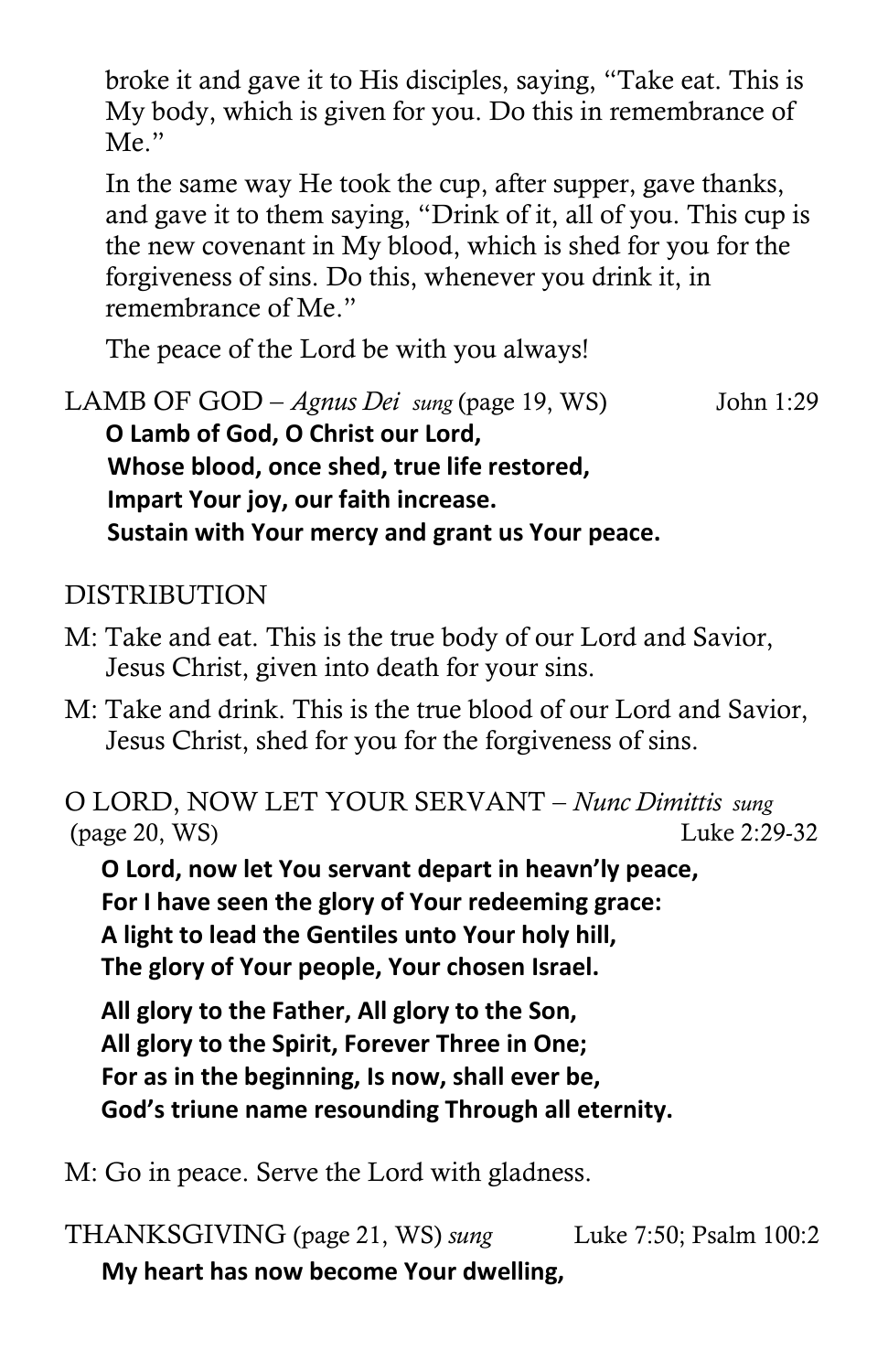broke it and gave it to His disciples, saying, "Take eat. This is My body, which is given for you. Do this in remembrance of Me."

 In the same way He took the cup, after supper, gave thanks, and gave it to them saying, "Drink of it, all of you. This cup is the new covenant in My blood, which is shed for you for the forgiveness of sins. Do this, whenever you drink it, in remembrance of Me."

The peace of the Lord be with you always!

LAMB OF GOD – *Agnus Dei sung* (page 19, WS) John 1:29 **O Lamb of God, O Christ our Lord, Whose blood, once shed, true life restored, Impart Your joy, our faith increase. Sustain with Your mercy and grant us Your peace.**

# DISTRIBUTION

- M: Take and eat. This is the true body of our Lord and Savior, Jesus Christ, given into death for your sins.
- M: Take and drink. This is the true blood of our Lord and Savior, Jesus Christ, shed for you for the forgiveness of sins.

O LORD, NOW LET YOUR SERVANT – *Nunc Dimittis sung* (page 20, WS) Luke 2:29-32

 **O Lord, now let You servant depart in heavn'ly peace, For I have seen the glory of Your redeeming grace: A light to lead the Gentiles unto Your holy hill, The glory of Your people, Your chosen Israel.**

 **All glory to the Father, All glory to the Son, All glory to the Spirit, Forever Three in One; For as in the beginning, Is now, shall ever be, God's triune name resounding Through all eternity.**

M: Go in peace. Serve the Lord with gladness.

THANKSGIVING (page 21, WS) *sung* Luke 7:50; Psalm 100:2  **My heart has now become Your dwelling,**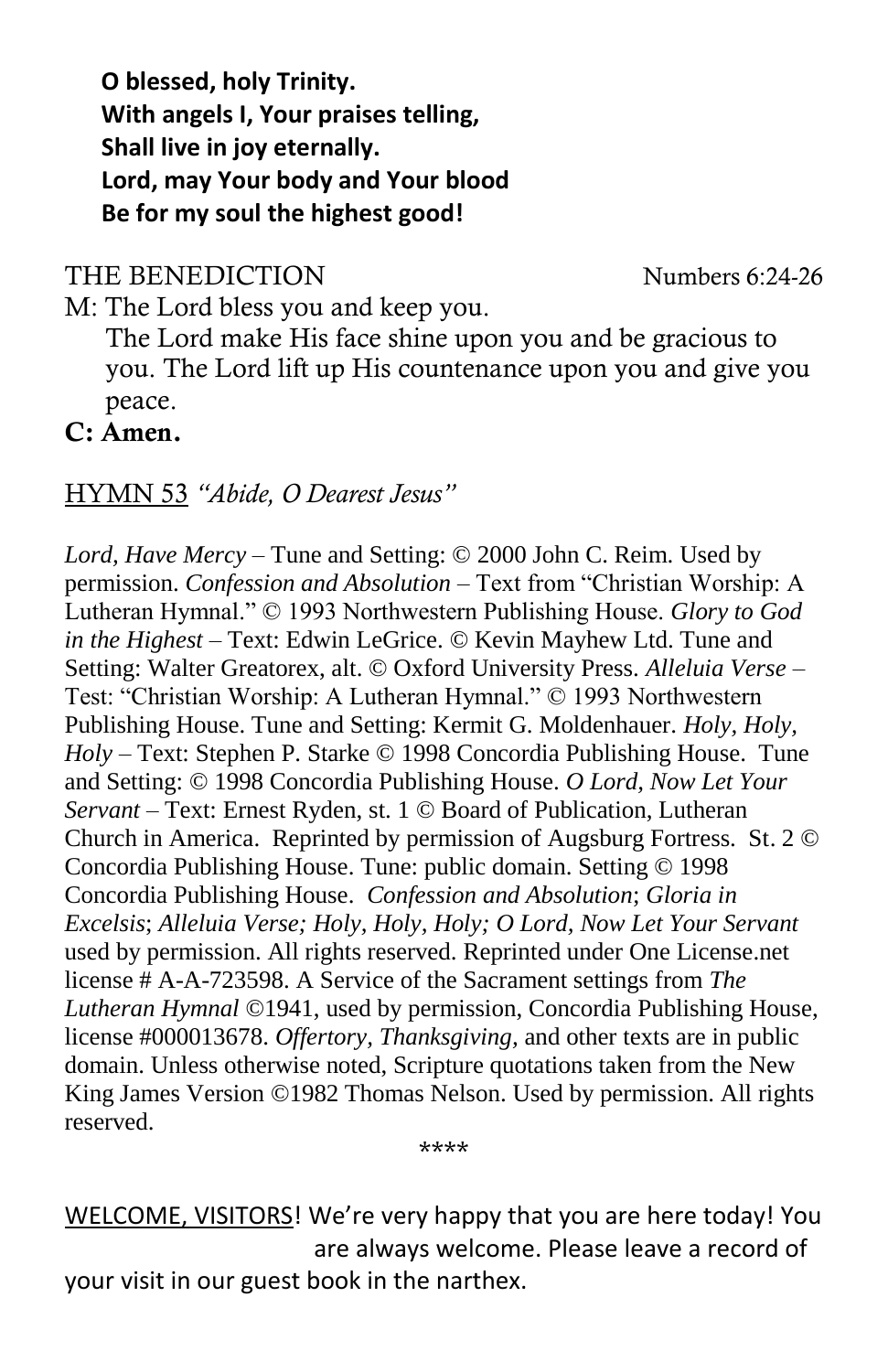**O blessed, holy Trinity. With angels I, Your praises telling, Shall live in joy eternally. Lord, may Your body and Your blood Be for my soul the highest good!**

THE BENEDICTION Numbers 6:24-26

M: The Lord bless you and keep you. The Lord make His face shine upon you and be gracious to you. The Lord lift up His countenance upon you and give you peace.

**C: Amen.**

#### HYMN 53 *"Abide, O Dearest Jesus"*

*Lord, Have Mercy* – Tune and Setting: © 2000 John C. Reim. Used by permission. *Confession and Absolution* – Text from "Christian Worship: A Lutheran Hymnal." © 1993 Northwestern Publishing House. *Glory to God in the Highest* – Text: Edwin LeGrice. © Kevin Mayhew Ltd. Tune and Setting: Walter Greatorex, alt. © Oxford University Press. *Alleluia Verse* – Test: "Christian Worship: A Lutheran Hymnal." © 1993 Northwestern Publishing House. Tune and Setting: Kermit G. Moldenhauer. *Holy, Holy, Holy* – Text: Stephen P. Starke © 1998 Concordia Publishing House. Tune and Setting: © 1998 Concordia Publishing House. *O Lord, Now Let Your Servant* – Text: Ernest Ryden, st. 1 © Board of Publication, Lutheran Church in America. Reprinted by permission of Augsburg Fortress. St. 2 © Concordia Publishing House. Tune: public domain. Setting © 1998 Concordia Publishing House. *Confession and Absolution*; *Gloria in Excelsis*; *Alleluia Verse; Holy, Holy, Holy; O Lord, Now Let Your Servant* used by permission. All rights reserved. Reprinted under One License.net license # A-A-723598. A Service of the Sacrament settings from *The Lutheran Hymnal* ©1941, used by permission, Concordia Publishing House, license #000013678. *Offertory, Thanksgiving,* and other texts are in public domain. Unless otherwise noted, Scripture quotations taken from the New King James Version ©1982 Thomas Nelson. Used by permission. All rights reserved.

\*\*\*\*

WELCOME, VISITORS! We're very happy that you are here today! You are always welcome. Please leave a record of your visit in our guest book in the narthex.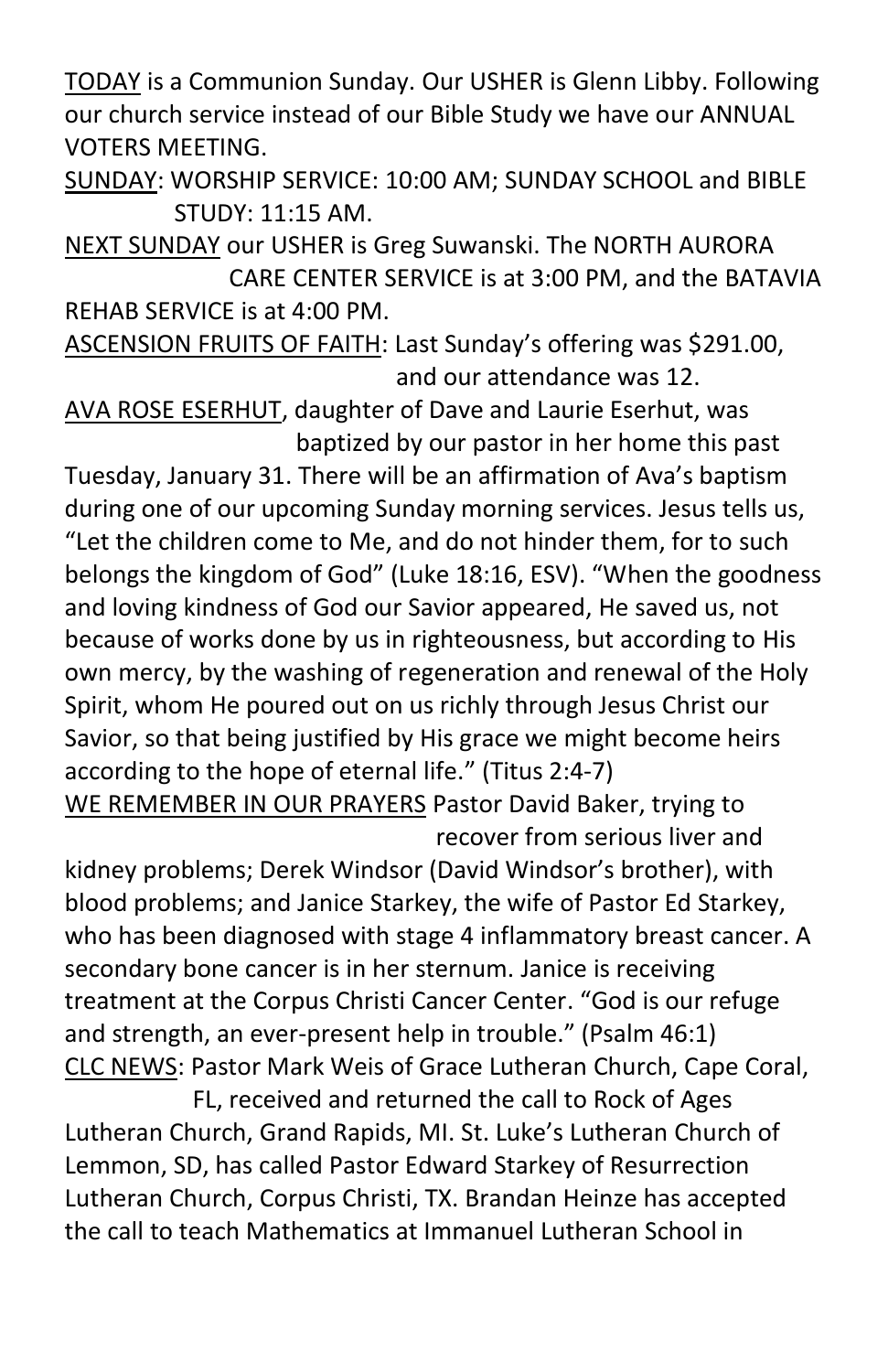TODAY is a Communion Sunday. Our USHER is Glenn Libby. Following our church service instead of our Bible Study we have our ANNUAL VOTERS MEETING.

SUNDAY: WORSHIP SERVICE: 10:00 AM; SUNDAY SCHOOL and BIBLE STUDY: 11:15 AM.

NEXT SUNDAY our USHER is Greg Suwanski. The NORTH AURORA CARE CENTER SERVICE is at 3:00 PM, and the BATAVIA REHAB SERVICE is at 4:00 PM.

ASCENSION FRUITS OF FAITH: Last Sunday's offering was \$291.00, and our attendance was 12.

AVA ROSE ESERHUT, daughter of Dave and Laurie Eserhut, was baptized by our pastor in her home this past

Tuesday, January 31. There will be an affirmation of Ava's baptism during one of our upcoming Sunday morning services. Jesus tells us, "Let the children come to Me, and do not hinder them, for to such belongs the kingdom of God" (Luke 18:16, ESV). "When the goodness and loving kindness of God our Savior appeared, He saved us, not because of works done by us in righteousness, but according to His own mercy, by the washing of regeneration and renewal of the Holy Spirit, whom He poured out on us richly through Jesus Christ our Savior, so that being justified by His grace we might become heirs according to the hope of eternal life." (Titus 2:4-7) WE REMEMBER IN OUR PRAYERS Pastor David Baker, trying to

recover from serious liver and

kidney problems; Derek Windsor (David Windsor's brother), with blood problems; and Janice Starkey, the wife of Pastor Ed Starkey, who has been diagnosed with stage 4 inflammatory breast cancer. A secondary bone cancer is in her sternum. Janice is receiving treatment at the Corpus Christi Cancer Center. "God is our refuge and strength, an ever-present help in trouble." (Psalm 46:1) CLC NEWS: Pastor Mark Weis of Grace Lutheran Church, Cape Coral,

 FL, received and returned the call to Rock of Ages Lutheran Church, Grand Rapids, MI. St. Luke's Lutheran Church of Lemmon, SD, has called Pastor Edward Starkey of Resurrection Lutheran Church, Corpus Christi, TX. Brandan Heinze has accepted the call to teach Mathematics at Immanuel Lutheran School in